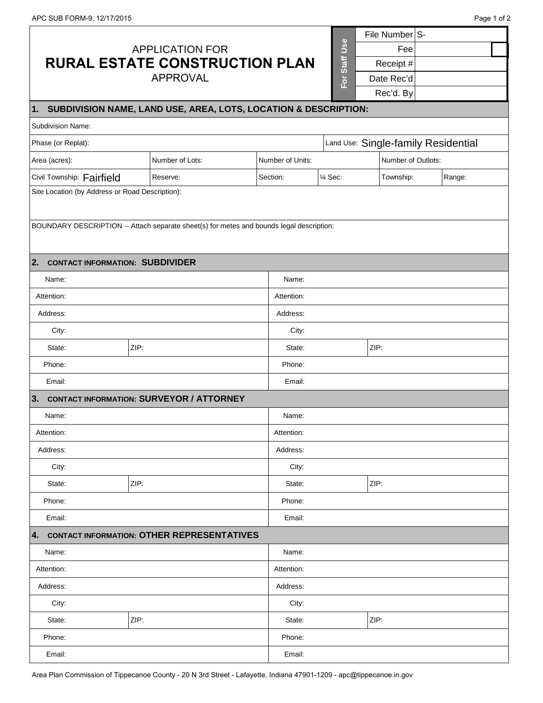r

|                                                                                          |                                                 |                  |                                     | File Number S-     |        |  |
|------------------------------------------------------------------------------------------|-------------------------------------------------|------------------|-------------------------------------|--------------------|--------|--|
| <b>APPLICATION FOR</b>                                                                   |                                                 | For Staff Use    | Fee                                 |                    |        |  |
|                                                                                          | <b>RURAL ESTATE CONSTRUCTION PLAN</b>           |                  |                                     | Receipt #          |        |  |
|                                                                                          | <b>APPROVAL</b>                                 |                  |                                     | Date Rec'd         |        |  |
|                                                                                          |                                                 |                  |                                     | Rec'd. By          |        |  |
| 1. SUBDIVISION NAME, LAND USE, AREA, LOTS, LOCATION & DESCRIPTION:                       |                                                 |                  |                                     |                    |        |  |
| Subdivision Name:                                                                        |                                                 |                  |                                     |                    |        |  |
| Phase (or Replat):                                                                       |                                                 |                  | Land Use: Single-family Residential |                    |        |  |
| Area (acres):                                                                            | Number of Lots:                                 | Number of Units: |                                     | Number of Outlots: |        |  |
| Civil Township: Fairfield                                                                | Reserve:                                        | Section:         | 1⁄4 Sec:                            | Township:          | Range: |  |
| Site Location (by Address or Road Description):                                          |                                                 |                  |                                     |                    |        |  |
|                                                                                          |                                                 |                  |                                     |                    |        |  |
| BOUNDARY DESCRIPTION -- Attach separate sheet(s) for metes and bounds legal description: |                                                 |                  |                                     |                    |        |  |
|                                                                                          |                                                 |                  |                                     |                    |        |  |
| 2. CONTACT INFORMATION: SUBDIVIDER                                                       |                                                 |                  |                                     |                    |        |  |
| Name:                                                                                    |                                                 | Name:            |                                     |                    |        |  |
| Attention:                                                                               |                                                 | Attention:       |                                     |                    |        |  |
| Address:                                                                                 |                                                 | Address:         |                                     |                    |        |  |
| City:                                                                                    |                                                 | City:            |                                     |                    |        |  |
| ZIP:<br>State:                                                                           |                                                 | State:           |                                     | ZIP:               |        |  |
| Phone:                                                                                   |                                                 | Phone:           |                                     |                    |        |  |
| Email:                                                                                   |                                                 | Email:           |                                     |                    |        |  |
| 3.                                                                                       | <b>CONTACT INFORMATION: SURVEYOR / ATTORNEY</b> |                  |                                     |                    |        |  |
| Name:                                                                                    |                                                 | Name:            |                                     |                    |        |  |
| Attention:                                                                               |                                                 | Attention:       |                                     |                    |        |  |
| Address:                                                                                 |                                                 | Address:         |                                     |                    |        |  |
| City:                                                                                    |                                                 | City:            |                                     |                    |        |  |
| State:<br>ZIP:                                                                           |                                                 | State:           |                                     | ZIP:               |        |  |
| Phone:                                                                                   |                                                 | Phone:           |                                     |                    |        |  |
| Email:                                                                                   |                                                 | Email:           |                                     |                    |        |  |
| 4. CONTACT INFORMATION: OTHER REPRESENTATIVES                                            |                                                 |                  |                                     |                    |        |  |
| Name:                                                                                    |                                                 | Name:            |                                     |                    |        |  |
| Attention:                                                                               |                                                 | Attention:       |                                     |                    |        |  |
| Address:                                                                                 |                                                 | Address:         |                                     |                    |        |  |
| City:                                                                                    |                                                 | City:            |                                     |                    |        |  |
| ZIP:<br>State:                                                                           |                                                 | State:           |                                     | ZIP:               |        |  |
| Phone:                                                                                   |                                                 | Phone:           |                                     |                    |        |  |
| Email:                                                                                   |                                                 | Email:           |                                     |                    |        |  |

Area Plan Commission of Tippecanoe County - 20 N 3rd Street - Lafayette, Indiana 47901-1209 - apc@tippecanoe.in.gov